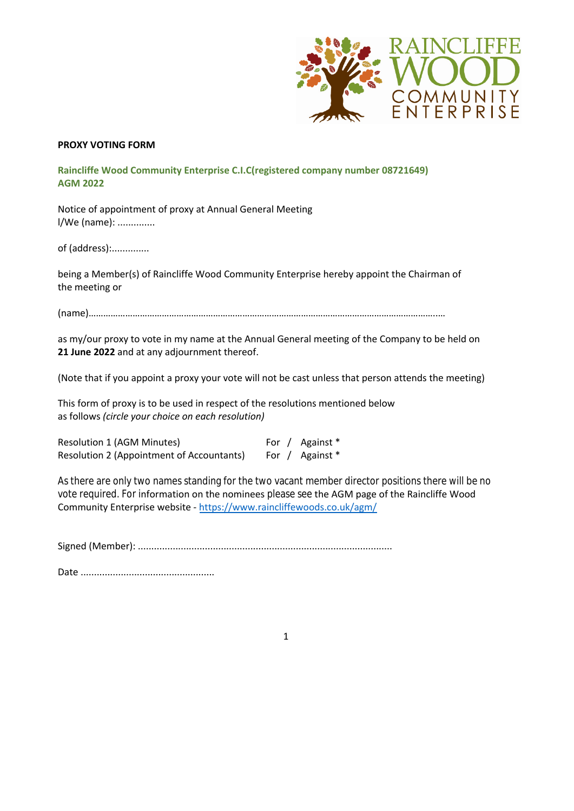

## **PROXY VOTING FORM**

**Raincliffe Wood Community Enterprise C.I.C(registered company number 08721649) AGM 2022**

Notice of appointment of proxy at Annual General Meeting l/We (name): ..............

of (address):..............

being a Member(s) of Raincliffe Wood Community Enterprise hereby appoint the Chairman of the meeting or

(name)……………………………………………………………………………………………………………………………..…

as my/our proxy to vote in my name at the Annual General meeting of the Company to be held on **21 June 2022** and at any adjournment thereof.

(Note that if you appoint a proxy your vote will not be cast unless that person attends the meeting)

This form of proxy is to be used in respect of the resolutions mentioned below as follows *(circle your choice on each resolution)*

Resolution 1 (AGM Minutes) For / Against \* Resolution 2 (Appointment of Accountants) For / Against \*

vote required. For information on the nominees please see the AGM page of the Raincliffe Wood Community Enterprise website - https://www.raincliffewoods.co.uk/agm/ As there are only two names standing for the two vacant member director positions there will be no

Signed (Member): ...............................................................................................

Date ..................................................